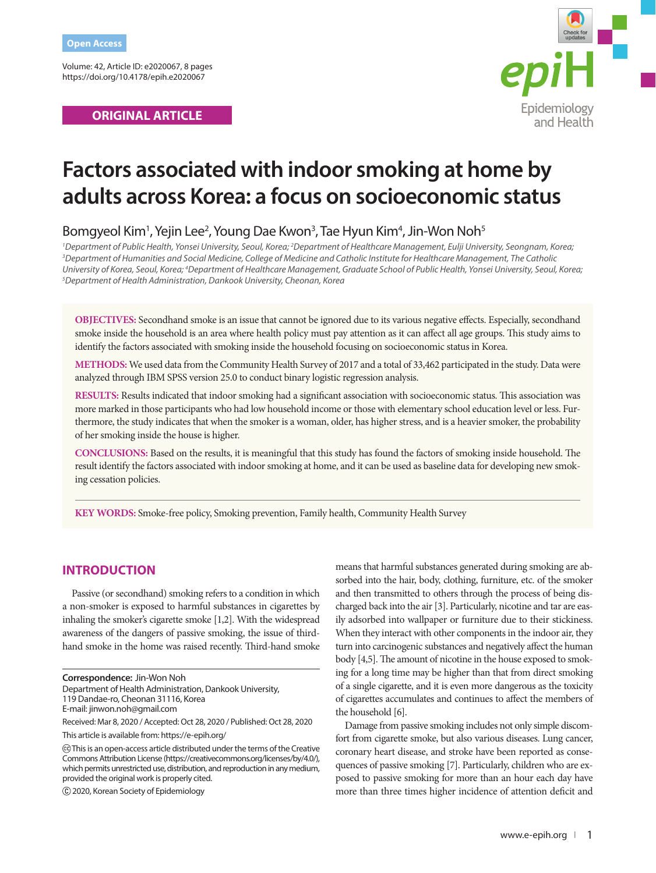Volume: 42, Article ID: e2020067, 8 pages https://doi.org/10.4178/epih.e2020067

# **ORIGINAL ARTICLE**



# **Factors associated with indoor smoking at home by adults across Korea: a focus on socioeconomic status**

# Bomgyeol Kim<sup>1</sup>, Yejin Lee<sup>2</sup>, Young Dae Kwon<sup>3</sup>, Tae Hyun Kim<sup>4</sup>, Jin-Won Noh<sup>5</sup>

<sup>1</sup> Department of Public Health, Yonsei University, Seoul, Korea; <sup>2</sup>Department of Healthcare Management, Eulji University, Seongnam, Korea;<br><sup>3</sup>Department of Humanities and Social Medicine, College of Medicine and Catholic *Department of Humanities and Social Medicine, College of Medicine and Catholic Institute for Healthcare Management, The Catholic*  University of Korea, Seoul, Korea; <sup>4</sup>Department of Healthcare Management, Graduate School of Public Health, Yonsei University, Seoul, Korea;<br><sup>5</sup>Denartment of Health Administration, Dankook University Cheonan, Korea *Department of Health Administration, Dankook University, Cheonan, Korea*

**OBJECTIVES:** Secondhand smoke is an issue that cannot be ignored due to its various negative effects. Especially, secondhand smoke inside the household is an area where health policy must pay attention as it can affect all age groups. This study aims to identify the factors associated with smoking inside the household focusing on socioeconomic status in Korea.

**METHODS:** We used data from the Community Health Survey of 2017 and a total of 33,462 participated in the study. Data were analyzed through IBM SPSS version 25.0 to conduct binary logistic regression analysis.

**RESULTS:** Results indicated that indoor smoking had a significant association with socioeconomic status. This association was more marked in those participants who had low household income or those with elementary school education level or less. Furthermore, the study indicates that when the smoker is a woman, older, has higher stress, and is a heavier smoker, the probability of her smoking inside the house is higher.

**CONCLUSIONS:** Based on the results, it is meaningful that this study has found the factors of smoking inside household. The result identify the factors associated with indoor smoking at home, and it can be used as baseline data for developing new smoking cessation policies.

**KEY WORDS:** Smoke-free policy, Smoking prevention, Family health, Community Health Survey

# **INTRODUCTION**

Passive (or secondhand) smoking refers to a condition in which a non-smoker is exposed to harmful substances in cigarettes by inhaling the smoker's cigarette smoke [1,2]. With the widespread awareness of the dangers of passive smoking, the issue of thirdhand smoke in the home was raised recently. Third-hand smoke

Department of Health Administration, Dankook University,

This article is available from: https://e-epih.org/

2020, Korean Society of Epidemiology

means that harmful substances generated during smoking are absorbed into the hair, body, clothing, furniture, etc. of the smoker and then transmitted to others through the process of being discharged back into the air [3]. Particularly, nicotine and tar are easily adsorbed into wallpaper or furniture due to their stickiness. When they interact with other components in the indoor air, they turn into carcinogenic substances and negatively affect the human body [4,5]. The amount of nicotine in the house exposed to smoking for a long time may be higher than that from direct smoking of a single cigarette, and it is even more dangerous as the toxicity of cigarettes accumulates and continues to affect the members of the household [6].

Damage from passive smoking includes not only simple discomfort from cigarette smoke, but also various diseases. Lung cancer, coronary heart disease, and stroke have been reported as consequences of passive smoking [7]. Particularly, children who are exposed to passive smoking for more than an hour each day have more than three times higher incidence of attention deficit and

**Correspondence:** Jin-Won Noh

<sup>119</sup> Dandae-ro, Cheonan 31116, Korea

E-mail: jinwon.noh@gmail.com

Received: Mar 8, 2020 / Accepted: Oct 28, 2020 / Published: Oct 28, 2020

This is an open-access article distributed under the terms of the Creative Commons Attribution License (https://creativecommons.org/licenses/by/4.0/), which permits unrestricted use, distribution, and reproduction in any medium, provided the original work is properly cited.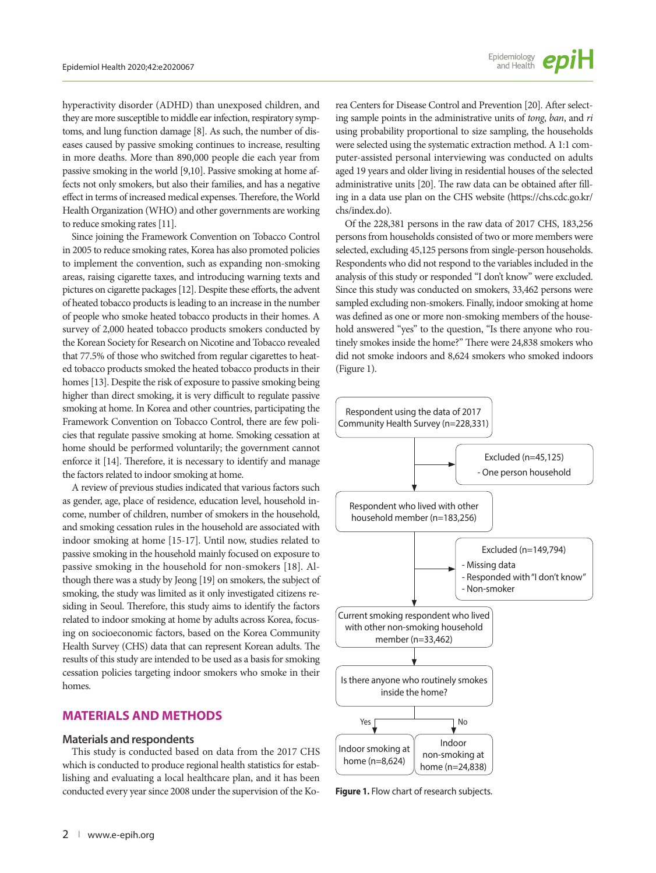hyperactivity disorder (ADHD) than unexposed children, and they are more susceptible to middle ear infection, respiratory symptoms, and lung function damage [8]. As such, the number of diseases caused by passive smoking continues to increase, resulting in more deaths. More than 890,000 people die each year from passive smoking in the world [9,10]. Passive smoking at home affects not only smokers, but also their families, and has a negative effect in terms of increased medical expenses. Therefore, the World Health Organization (WHO) and other governments are working to reduce smoking rates [11].

Since joining the Framework Convention on Tobacco Control in 2005 to reduce smoking rates, Korea has also promoted policies to implement the convention, such as expanding non-smoking areas, raising cigarette taxes, and introducing warning texts and pictures on cigarette packages [12]. Despite these efforts, the advent of heated tobacco products is leading to an increase in the number of people who smoke heated tobacco products in their homes. A survey of 2,000 heated tobacco products smokers conducted by the Korean Society for Research on Nicotine and Tobacco revealed that 77.5% of those who switched from regular cigarettes to heated tobacco products smoked the heated tobacco products in their homes [13]. Despite the risk of exposure to passive smoking being higher than direct smoking, it is very difficult to regulate passive smoking at home. In Korea and other countries, participating the Framework Convention on Tobacco Control, there are few policies that regulate passive smoking at home. Smoking cessation at home should be performed voluntarily; the government cannot enforce it [14]. Therefore, it is necessary to identify and manage the factors related to indoor smoking at home.

A review of previous studies indicated that various factors such as gender, age, place of residence, education level, household income, number of children, number of smokers in the household, and smoking cessation rules in the household are associated with indoor smoking at home [15-17]. Until now, studies related to passive smoking in the household mainly focused on exposure to passive smoking in the household for non-smokers [18]. Although there was a study by Jeong [19] on smokers, the subject of smoking, the study was limited as it only investigated citizens residing in Seoul. Therefore, this study aims to identify the factors related to indoor smoking at home by adults across Korea, focusing on socioeconomic factors, based on the Korea Community Health Survey (CHS) data that can represent Korean adults. The results of this study are intended to be used as a basis for smoking cessation policies targeting indoor smokers who smoke in their homes.

#### **MATERIALS AND METHODS**

#### **Materials and respondents**

This study is conducted based on data from the 2017 CHS which is conducted to produce regional health statistics for establishing and evaluating a local healthcare plan, and it has been conducted every year since 2008 under the supervision of the Ko-

rea Centers for Disease Control and Prevention [20]. After selecting sample points in the administrative units of *tong*, *ban*, and *ri* using probability proportional to size sampling, the households were selected using the systematic extraction method. A 1:1 computer-assisted personal interviewing was conducted on adults aged 19 years and older living in residential houses of the selected administrative units [20]. The raw data can be obtained after filling in a data use plan on the CHS website [\(https://chs.cdc.go.kr/](https://chs.cdc.go.kr/chs/index.do) [chs/index.do\)](https://chs.cdc.go.kr/chs/index.do).

Of the 228,381 persons in the raw data of 2017 CHS, 183,256 persons from households consisted of two or more members were selected, excluding 45,125 persons from single-person households. Respondents who did not respond to the variables included in the analysis of this study or responded "I don't know" were excluded. Since this study was conducted on smokers, 33,462 persons were sampled excluding non-smokers. Finally, indoor smoking at home was defined as one or more non-smoking members of the household answered "yes" to the question, "Is there anyone who routinely smokes inside the home?" There were 24,838 smokers who did not smoke indoors and 8,624 smokers who smoked indoors (Figure 1).



**Figure 1.** Flow chart of research subjects.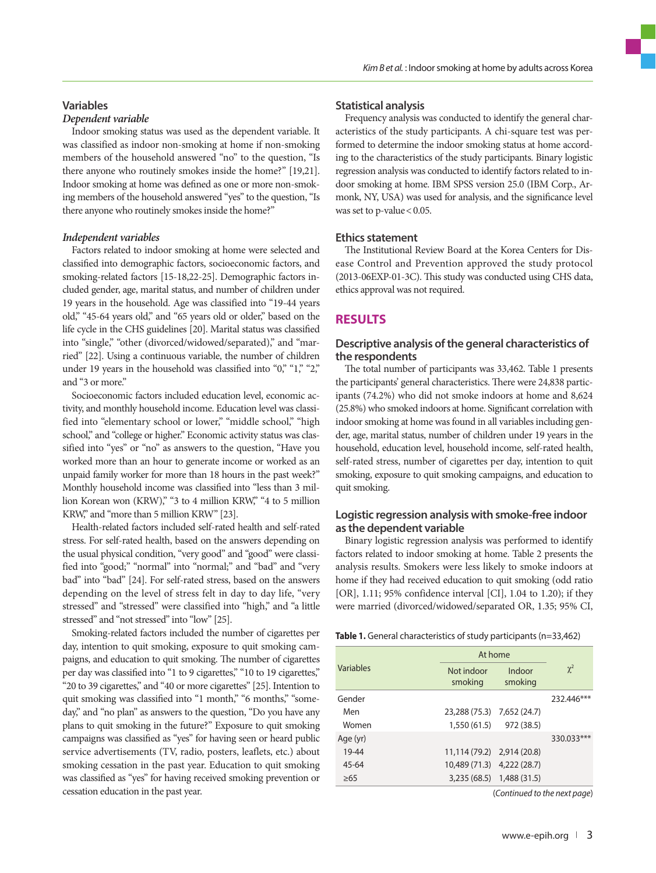# **Variables** *Dependent variable*

Indoor smoking status was used as the dependent variable. It was classified as indoor non-smoking at home if non-smoking members of the household answered "no" to the question, "Is there anyone who routinely smokes inside the home?" [19,21]. Indoor smoking at home was defined as one or more non-smoking members of the household answered "yes" to the question, "Is there anyone who routinely smokes inside the home?"

#### *Independent variables*

Factors related to indoor smoking at home were selected and classified into demographic factors, socioeconomic factors, and smoking-related factors [15-18,22-25]. Demographic factors included gender, age, marital status, and number of children under 19 years in the household. Age was classified into "19-44 years old," "45-64 years old," and "65 years old or older," based on the life cycle in the CHS guidelines [20]. Marital status was classified into "single," "other (divorced/widowed/separated)," and "married" [22]. Using a continuous variable, the number of children under 19 years in the household was classified into "0," "1," "2," and "3 or more."

Socioeconomic factors included education level, economic activity, and monthly household income. Education level was classified into "elementary school or lower," "middle school," "high school," and "college or higher." Economic activity status was classified into "yes" or "no" as answers to the question, "Have you worked more than an hour to generate income or worked as an unpaid family worker for more than 18 hours in the past week?" Monthly household income was classified into "less than 3 million Korean won (KRW)," "3 to 4 million KRW," "4 to 5 million KRW," and "more than 5 million KRW" [23].

Health-related factors included self-rated health and self-rated stress. For self-rated health, based on the answers depending on the usual physical condition, "very good" and "good" were classified into "good;" "normal" into "normal;" and "bad" and "very bad" into "bad" [24]. For self-rated stress, based on the answers depending on the level of stress felt in day to day life, "very stressed" and "stressed" were classified into "high," and "a little stressed" and "not stressed" into "low" [25].

Smoking-related factors included the number of cigarettes per day, intention to quit smoking, exposure to quit smoking campaigns, and education to quit smoking. The number of cigarettes per day was classified into "1 to 9 cigarettes," "10 to 19 cigarettes," "20 to 39 cigarettes," and "40 or more cigarettes" [25]. Intention to quit smoking was classified into "1 month," "6 months," "someday," and "no plan" as answers to the question, "Do you have any plans to quit smoking in the future?" Exposure to quit smoking campaigns was classified as "yes" for having seen or heard public service advertisements (TV, radio, posters, leaflets, etc.) about smoking cessation in the past year. Education to quit smoking was classified as "yes" for having received smoking prevention or cessation education in the past year.

#### **Statistical analysis**

Frequency analysis was conducted to identify the general characteristics of the study participants. A chi-square test was performed to determine the indoor smoking status at home according to the characteristics of the study participants. Binary logistic regression analysis was conducted to identify factors related to indoor smoking at home. IBM SPSS version 25.0 (IBM Corp., Armonk, NY, USA) was used for analysis, and the significance level was set to p-value < 0.05.

#### **Ethics statement**

The Institutional Review Board at the Korea Centers for Disease Control and Prevention approved the study protocol (2013-06EXP-01-3C). This study was conducted using CHS data, ethics approval was not required.

### **RESULTS**

#### **Descriptive analysis of the general characteristics of the respondents**

The total number of participants was 33,462. Table 1 presents the participants' general characteristics. There were 24,838 participants (74.2%) who did not smoke indoors at home and 8,624 (25.8%) who smoked indoors at home. Significant correlation with indoor smoking at home was found in all variables including gender, age, marital status, number of children under 19 years in the household, education level, household income, self-rated health, self-rated stress, number of cigarettes per day, intention to quit smoking, exposure to quit smoking campaigns, and education to quit smoking.

#### **Logistic regression analysis with smoke-free indoor as the dependent variable**

Binary logistic regression analysis was performed to identify factors related to indoor smoking at home. Table 2 presents the analysis results. Smokers were less likely to smoke indoors at home if they had received education to quit smoking (odd ratio [OR], 1.11; 95% confidence interval [CI], 1.04 to 1.20); if they were married (divorced/widowed/separated OR, 1.35; 95% CI,

**Table 1.** General characteristics of study participants (n=33,462)

|           | At home                    |                   |            |
|-----------|----------------------------|-------------------|------------|
| Variables | Not indoor<br>smoking      | Indoor<br>smoking | $\chi^2$   |
| Gender    |                            |                   | 232.446*** |
| Men       | 23,288 (75.3) 7,652 (24.7) |                   |            |
| Women     | 1,550 (61.5)               | 972 (38.5)        |            |
| Age (yr)  |                            |                   | 330.033*** |
| 19-44     | 11,114 (79.2) 2,914 (20.8) |                   |            |
| $45 - 64$ | 10,489 (71.3) 4,222 (28.7) |                   |            |
| $\geq 65$ | 3,235 (68.5) 1,488 (31.5)  |                   |            |

(*Continued to the next page*)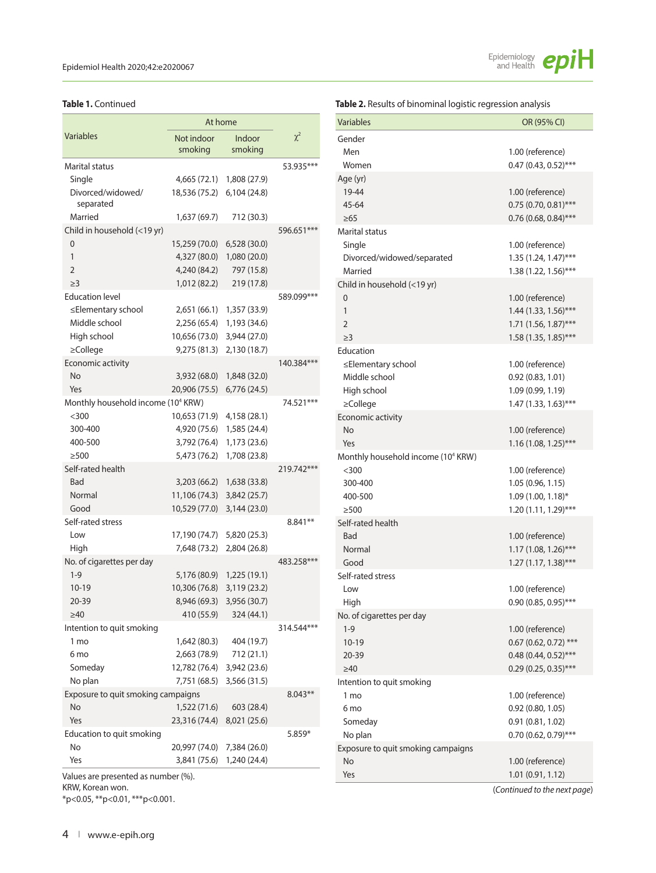|                                                | At home                    |                           |            |
|------------------------------------------------|----------------------------|---------------------------|------------|
| <b>Variables</b>                               | Not indoor                 | Indoor                    | $\chi^2$   |
|                                                | smoking                    | smoking                   |            |
| Marital status                                 |                            |                           | 53.935***  |
| Single                                         |                            | 4,665 (72.1) 1,808 (27.9) |            |
| Divorced/widowed/<br>separated                 | 18,536 (75.2) 6,104 (24.8) |                           |            |
| Married                                        | 1,637 (69.7)               | 712 (30.3)                |            |
| Child in household (<19 yr)                    |                            |                           | 596.651*** |
| 0                                              | 15,259 (70.0) 6,528 (30.0) |                           |            |
| $\mathbf{1}$                                   | 4,327 (80.0)               | 1,080 (20.0)              |            |
| 2                                              | 4,240 (84.2)               | 797 (15.8)                |            |
| $\geq$ 3                                       | 1,012 (82.2)               | 219 (17.8)                |            |
| <b>Education level</b>                         |                            |                           | 589.099*** |
| ≤Elementary school                             |                            | 2,651 (66.1) 1,357 (33.9) |            |
| Middle school                                  |                            | 2,256 (65.4) 1,193 (34.6) |            |
| High school                                    | 10,656 (73.0)              | 3,944 (27.0)              |            |
| $\geq$ College                                 | 9,275 (81.3)               | 2,130 (18.7)              |            |
| Economic activity                              |                            |                           | 140.384*** |
| No                                             | 3,932 (68.0)               | 1,848 (32.0)              |            |
| Yes                                            | 20,906 (75.5)              | 6,776 (24.5)              |            |
| Monthly household income (10 <sup>4</sup> KRW) |                            |                           | 74.521***  |
| $<$ 300                                        | 10,653 (71.9)              | 4,158 (28.1)              |            |
| 300-400                                        |                            | 4,920 (75.6) 1,585 (24.4) |            |
| 400-500                                        |                            | 3,792 (76.4) 1,173 (23.6) |            |
| $\geq$ 500                                     | 5,473 (76.2)               | 1,708 (23.8)              |            |
| Self-rated health                              |                            |                           | 219.742*** |
| Bad                                            |                            | 3,203 (66.2) 1,638 (33.8) |            |
| Normal                                         | 11,106 (74.3)              | 3,842 (25.7)              |            |
| Good                                           | 10,529 (77.0)              | 3,144 (23.0)              |            |
| Self-rated stress                              |                            |                           | $8.841**$  |
| Low                                            | 17,190 (74.7) 5,820 (25.3) |                           |            |
| High                                           |                            | 7,648 (73.2) 2,804 (26.8) |            |
| No. of cigarettes per day                      |                            |                           | 483.258*** |
| $1 - 9$                                        |                            | 5,176 (80.9) 1,225 (19.1) |            |
| $10-19$                                        | 10,306 (76.8)              | 3,119 (23.2)              |            |
| 20-39                                          | 8,946 (69.3)               | 3,956 (30.7)              |            |
| $\geq 40$                                      | 410 (55.9)                 | 324 (44.1)                |            |
| Intention to quit smoking                      |                            |                           | 314.544*** |
| 1 mo                                           | 1,642 (80.3)               | 404 (19.7)                |            |
| 6 mo                                           | 2,663 (78.9)               | 712 (21.1)                |            |
| Someday                                        | 12,782 (76.4)              | 3,942 (23.6)              |            |
| No plan                                        | 7,751 (68.5)               | 3,566 (31.5)              |            |
| Exposure to quit smoking campaigns             |                            |                           | $8.043**$  |
| No                                             | 1,522 (71.6)               | 603 (28.4)                |            |
| Yes                                            | 23,316 (74.4)              | 8,021 (25.6)              |            |
| Education to quit smoking                      |                            |                           | $5.859*$   |
| No                                             | 20,997 (74.0)              | 7,384 (26.0)              |            |
| Yes                                            |                            | 3,841 (75.6) 1,240 (24.4) |            |
|                                                |                            |                           |            |

Values are presented as number (%). KRW, Korean won.

\*p<0.05, \*\*p<0.01, \*\*\*p<0.001.



**Table 1.** Continued **Table 2.** Results of binominal logistic regression analysis

| <b>Variables</b>                               | OR (95% CI)                          |
|------------------------------------------------|--------------------------------------|
| Gender                                         |                                      |
| Men                                            | 1.00 (reference)                     |
| Women                                          | $0.47(0.43, 0.52)$ ***               |
| Age (yr)                                       |                                      |
| 19-44                                          | 1.00 (reference)                     |
| 45-64                                          | $0.75(0.70, 0.81)$ ***               |
| $\geq 65$                                      | $0.76$ (0.68, 0.84)***               |
| <b>Marital status</b>                          |                                      |
| Single                                         | 1.00 (reference)                     |
| Divorced/widowed/separated                     | $1.35(1.24, 1.47)$ ***               |
| Married                                        | 1.38 (1.22, 1.56)***                 |
| Child in household (<19 yr)                    |                                      |
| 0                                              | 1.00 (reference)                     |
| 1                                              | 1.44 (1.33, 1.56)***                 |
| $\overline{2}$                                 | $1.71(1.56, 1.87)$ ***               |
| $\geq$ 3<br>Education                          | 1.58 (1.35, 1.85)***                 |
|                                                |                                      |
| ≤Elementary school<br>Middle school            | 1.00 (reference)<br>0.92(0.83, 1.01) |
| High school                                    | 1.09 (0.99, 1.19)                    |
| ≥College                                       | 1.47 (1.33, 1.63)***                 |
| Economic activity                              |                                      |
| No                                             | 1.00 (reference)                     |
| Yes                                            | $1.16(1.08, 1.25)$ ***               |
| Monthly household income (10 <sup>4</sup> KRW) |                                      |
| $<$ 300                                        | 1.00 (reference)                     |
| 300-400                                        | 1.05 (0.96, 1.15)                    |
| 400-500                                        | 1.09 (1.00, 1.18)*                   |
| >500                                           | 1.20 (1.11, 1.29)***                 |
| Self-rated health                              |                                      |
| <b>Bad</b>                                     | 1.00 (reference)                     |
| Normal                                         | 1.17 (1.08, 1.26)***                 |
| Good                                           | $1.27(1.17, 1.38)$ ***               |
| Self-rated stress                              |                                      |
| Low                                            | 1.00 (reference)                     |
| High                                           | 0.90 (0.85, 0.95)***                 |
| No. of cigarettes per day                      |                                      |
| $1 - 9$                                        | 1.00 (reference)                     |
| $10 - 19$                                      | $0.67$ (0.62, 0.72) ***              |
| 20-39                                          | $0.48(0.44, 0.52)$ ***               |
| $\geq 40$                                      | $0.29(0.25, 0.35)$ ***               |
| Intention to quit smoking                      |                                      |
| 1 <sub>mo</sub><br>6 <sub>mo</sub>             | 1.00 (reference)                     |
|                                                | 0.92(0.80, 1.05)<br>0.91(0.81, 1.02) |
| Someday<br>No plan                             | $0.70(0.62, 0.79)$ ***               |
| Exposure to quit smoking campaigns             |                                      |
| No                                             | 1.00 (reference)                     |
| Yes                                            | 1.01 (0.91, 1.12)                    |
|                                                |                                      |

(*Continued to the next page*)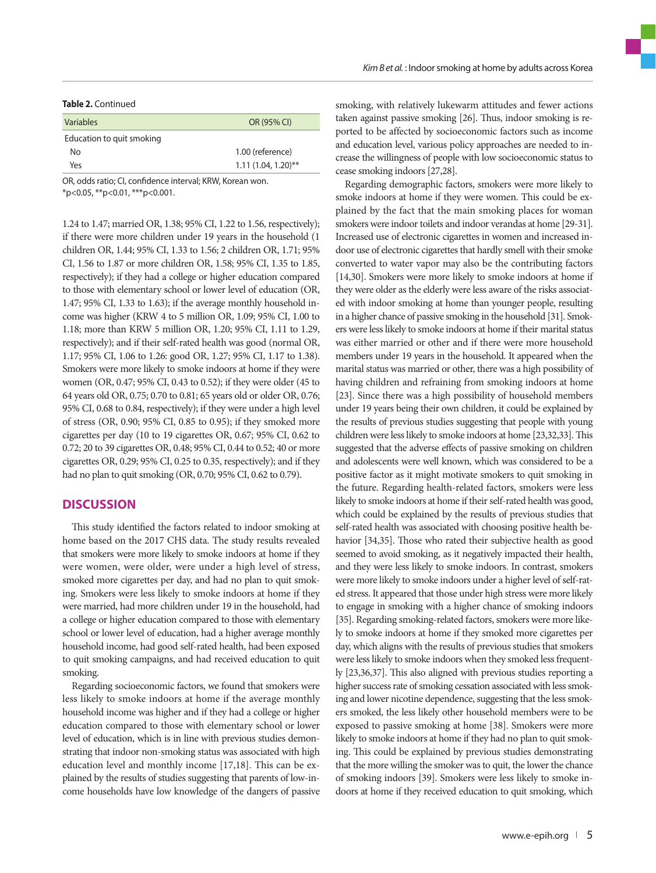#### **Table 2.** Continued

| Variables                 | OR (95% CI)           |
|---------------------------|-----------------------|
| Education to quit smoking |                       |
| No.                       | 1.00 (reference)      |
| Yes                       | $1.11(1.04, 1.20)$ ** |

OR, odds ratio; CI, confidence interval; KRW, Korean won. \*p<0.05, \*\*p<0.01, \*\*\*p<0.001.

1.24 to 1.47; married OR, 1.38; 95% CI, 1.22 to 1.56, respectively); if there were more children under 19 years in the household (1 children OR, 1.44; 95% CI, 1.33 to 1.56; 2 children OR, 1.71; 95% CI, 1.56 to 1.87 or more children OR, 1.58; 95% CI, 1.35 to 1.85, respectively); if they had a college or higher education compared to those with elementary school or lower level of education (OR, 1.47; 95% CI, 1.33 to 1.63); if the average monthly household income was higher (KRW 4 to 5 million OR, 1.09; 95% CI, 1.00 to 1.18; more than KRW 5 million OR, 1.20; 95% CI, 1.11 to 1.29, respectively); and if their self-rated health was good (normal OR, 1.17; 95% CI, 1.06 to 1.26: good OR, 1.27; 95% CI, 1.17 to 1.38). Smokers were more likely to smoke indoors at home if they were women (OR, 0.47; 95% CI, 0.43 to 0.52); if they were older (45 to 64 years old OR, 0.75; 0.70 to 0.81; 65 years old or older OR, 0.76; 95% CI, 0.68 to 0.84, respectively); if they were under a high level of stress (OR, 0.90; 95% CI, 0.85 to 0.95); if they smoked more cigarettes per day (10 to 19 cigarettes OR, 0.67; 95% CI, 0.62 to 0.72; 20 to 39 cigarettes OR, 0.48; 95% CI, 0.44 to 0.52; 40 or more cigarettes OR, 0.29; 95% CI, 0.25 to 0.35, respectively); and if they had no plan to quit smoking (OR, 0.70; 95% CI, 0.62 to 0.79).

#### **DISCUSSION**

This study identified the factors related to indoor smoking at home based on the 2017 CHS data. The study results revealed that smokers were more likely to smoke indoors at home if they were women, were older, were under a high level of stress, smoked more cigarettes per day, and had no plan to quit smoking. Smokers were less likely to smoke indoors at home if they were married, had more children under 19 in the household, had a college or higher education compared to those with elementary school or lower level of education, had a higher average monthly household income, had good self-rated health, had been exposed to quit smoking campaigns, and had received education to quit smoking.

Regarding socioeconomic factors, we found that smokers were less likely to smoke indoors at home if the average monthly household income was higher and if they had a college or higher education compared to those with elementary school or lower level of education, which is in line with previous studies demonstrating that indoor non-smoking status was associated with high education level and monthly income [17,18]. This can be explained by the results of studies suggesting that parents of low-income households have low knowledge of the dangers of passive smoking, with relatively lukewarm attitudes and fewer actions taken against passive smoking [26]. Thus, indoor smoking is reported to be affected by socioeconomic factors such as income and education level, various policy approaches are needed to increase the willingness of people with low socioeconomic status to cease smoking indoors [27,28].

Regarding demographic factors, smokers were more likely to smoke indoors at home if they were women. This could be explained by the fact that the main smoking places for woman smokers were indoor toilets and indoor verandas at home [29-31]. Increased use of electronic cigarettes in women and increased indoor use of electronic cigarettes that hardly smell with their smoke converted to water vapor may also be the contributing factors [14,30]. Smokers were more likely to smoke indoors at home if they were older as the elderly were less aware of the risks associated with indoor smoking at home than younger people, resulting in a higher chance of passive smoking in the household [31]. Smokers were less likely to smoke indoors at home if their marital status was either married or other and if there were more household members under 19 years in the household. It appeared when the marital status was married or other, there was a high possibility of having children and refraining from smoking indoors at home [23]. Since there was a high possibility of household members under 19 years being their own children, it could be explained by the results of previous studies suggesting that people with young children were less likely to smoke indoors at home [23,32,33]. This suggested that the adverse effects of passive smoking on children and adolescents were well known, which was considered to be a positive factor as it might motivate smokers to quit smoking in the future. Regarding health-related factors, smokers were less likely to smoke indoors at home if their self-rated health was good, which could be explained by the results of previous studies that self-rated health was associated with choosing positive health behavior [34,35]. Those who rated their subjective health as good seemed to avoid smoking, as it negatively impacted their health, and they were less likely to smoke indoors. In contrast, smokers were more likely to smoke indoors under a higher level of self-rated stress. It appeared that those under high stress were more likely to engage in smoking with a higher chance of smoking indoors [35]. Regarding smoking-related factors, smokers were more likely to smoke indoors at home if they smoked more cigarettes per day, which aligns with the results of previous studies that smokers were less likely to smoke indoors when they smoked less frequently [23,36,37]. This also aligned with previous studies reporting a higher success rate of smoking cessation associated with less smoking and lower nicotine dependence, suggesting that the less smokers smoked, the less likely other household members were to be exposed to passive smoking at home [38]. Smokers were more likely to smoke indoors at home if they had no plan to quit smoking. This could be explained by previous studies demonstrating that the more willing the smoker was to quit, the lower the chance of smoking indoors [39]. Smokers were less likely to smoke indoors at home if they received education to quit smoking, which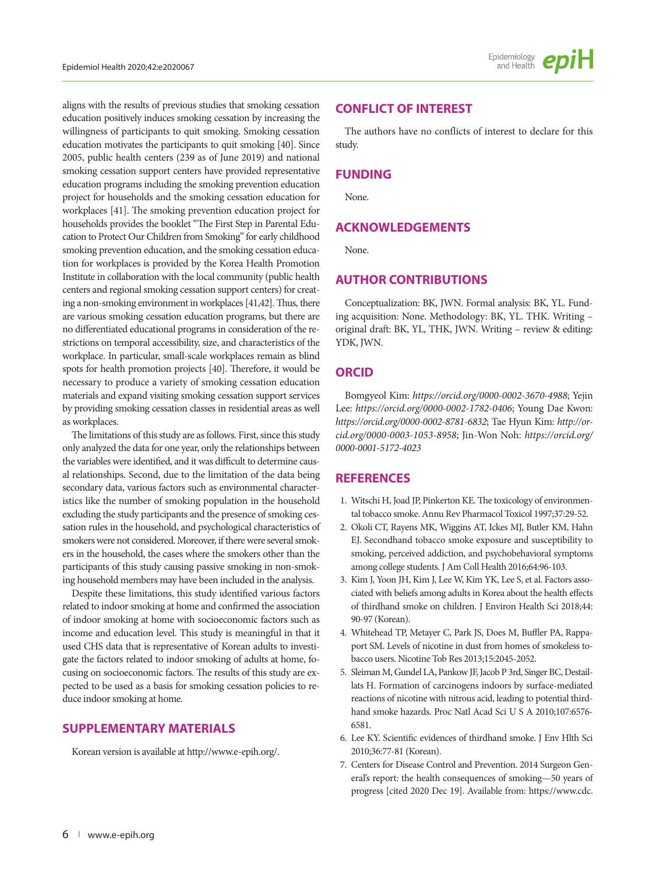aligns with the results of previous studies that smoking cessation education positively induces smoking cessation by increasing the willingness of participants to quit smoking. Smoking cessation education motivates the participants to quit smoking [40]. Since 2005, public health centers (239 as of June 2019) and national smoking cessation support centers have provided representative education programs including the smoking prevention education project for households and the smoking cessation education for workplaces [41]. The smoking prevention education project for households provides the booklet "The First Step in Parental Education to Protect Our Children from Smoking" for early childhood smoking prevention education, and the smoking cessation education for workplaces is provided by the Korea Health Promotion Institute in collaboration with the local community (public health centers and regional smoking cessation support centers) for creating a non-smoking environment in workplaces [41,42]. Thus, there are various smoking cessation education programs, but there are no differentiated educational programs in consideration of the restrictions on temporal accessibility, size, and characteristics of the workplace. In particular, small-scale workplaces remain as blind spots for health promotion projects [40]. Therefore, it would be necessary to produce a variety of smoking cessation education materials and expand visiting smoking cessation support services by providing smoking cessation classes in residential areas as well as workplaces.

The limitations of this study are as follows. First, since this study only analyzed the data for one year, only the relationships between the variables were identified, and it was difficult to determine causal relationships. Second, due to the limitation of the data being secondary data, various factors such as environmental characteristics like the number of smoking population in the household excluding the study participants and the presence of smoking cessation rules in the household, and psychological characteristics of smokers were not considered. Moreover, if there were several smokers in the household, the cases where the smokers other than the participants of this study causing passive smoking in non-smoking household members may have been included in the analysis.

Despite these limitations, this study identified various factors related to indoor smoking at home and confirmed the association of indoor smoking at home with socioeconomic factors such as income and education level. This study is meaningful in that it used CHS data that is representative of Korean adults to investigate the factors related to indoor smoking of adults at home, focusing on socioeconomic factors. The results of this study are expected to be used as a basis for smoking cessation policies to reduce indoor smoking at home.

# **SUPPLEMENTARY MATERIALS**

Korean version is available at http://www.e-epih.org/.

#### **CONFLICT OF INTEREST**

The authors have no conflicts of interest to declare for this study.

#### **FUNDING**

None.

### **ACKNOWLEDGEMENTS**

None.

# **AUTHOR CONTRIBUTIONS**

Conceptualization: BK, JWN. Formal analysis: BK, YL. Funding acquisition: None. Methodology: BK, YL. THK. Writing – original draft: BK, YL, THK, JWN. Writing – review & editing: YDK, JWN.

### **ORCID**

Bomgyeol Kim: *https://orcid.org/0000-0002-3670-4988*; Yejin Lee: *https://orcid.org/0000-0002-1782-0406*; Young Dae Kwon: *https://orcid.org/0000-0002-8781-6832*; Tae Hyun Kim: *http://orcid.org/0000-0003-1053-8958*; Jin-Won Noh: *https://orcid.org/ 0000-0001-5172-4023*

#### **REFERENCES**

- 1. Witschi H, Joad JP, Pinkerton KE. The toxicology of environmental tobacco smoke. Annu Rev Pharmacol Toxicol 1997;37:29-52.
- 2. Okoli CT, Rayens MK, Wiggins AT, Ickes MJ, Butler KM, Hahn EJ. Secondhand tobacco smoke exposure and susceptibility to smoking, perceived addiction, and psychobehavioral symptoms among college students. J Am Coll Health 2016;64:96-103.
- 3. Kim J, Yoon JH, Kim J, Lee W, Kim YK, Lee S, et al. Factors associated with beliefs among adults in Korea about the health effects of thirdhand smoke on children. J Environ Health Sci 2018;44: 90-97 (Korean).
- 4. Whitehead TP, Metayer C, Park JS, Does M, Buffler PA, Rappaport SM. Levels of nicotine in dust from homes of smokeless tobacco users. Nicotine Tob Res 2013;15:2045-2052.
- 5. Sleiman M, Gundel LA, Pankow JF, Jacob P 3rd, Singer BC, Destaillats H. Formation of carcinogens indoors by surface-mediated reactions of nicotine with nitrous acid, leading to potential thirdhand smoke hazards. Proc Natl Acad Sci U S A 2010;107:6576- 6581.
- 6. Lee KY. Scientific evidences of thirdhand smoke. J Env Hlth Sci 2010;36:77-81 (Korean).
- 7. Centers for Disease Control and Prevention. 2014 Surgeon General's report: the health consequences of smoking—50 years of progress [cited 2020 Dec 19]. Available from: [https://www.cdc.](https://www.cdc.gov/tobacco/data_statistics/sgr/50th-anniversary/index.htm)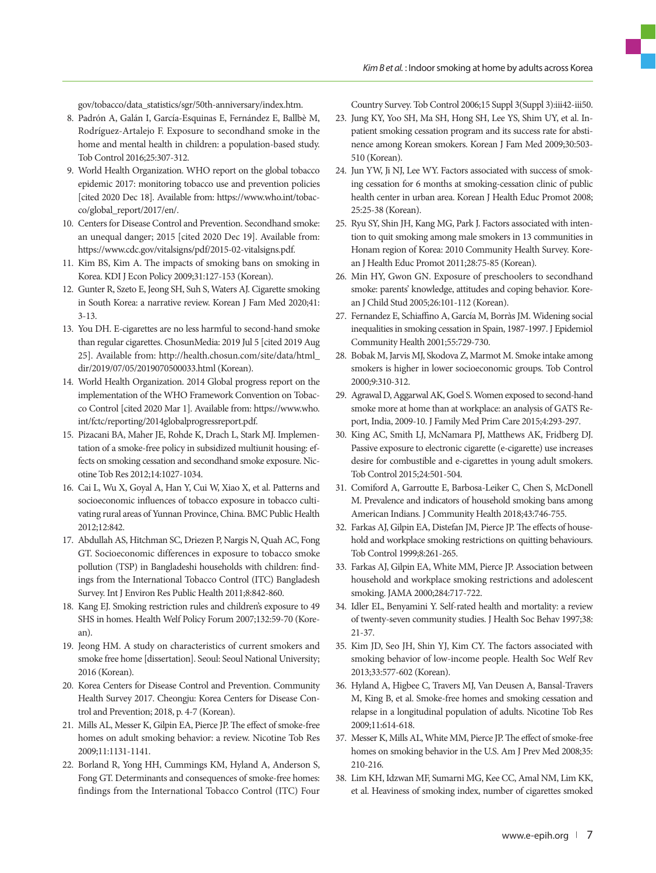[gov/tobacco/data\\_statistics/sgr/50th-anniversary/index.htm](https://www.cdc.gov/tobacco/data_statistics/sgr/50th-anniversary/index.htm).

- 8. Padrón A, Galán I, García-Esquinas E, Fernández E, Ballbè M, Rodríguez-Artalejo F. Exposure to secondhand smoke in the home and mental health in children: a population-based study. Tob Control 2016;25:307-312.
- 9. World Health Organization. WHO report on the global tobacco epidemic 2017: monitoring tobacco use and prevention policies [cited 2020 Dec 18]. Available from: [https://www.who.int/tobac](https://www.who.int/tobacco/global_report/2017/en/)[co/global\\_report/2017/en/.](https://www.who.int/tobacco/global_report/2017/en/)
- 10. Centers for Disease Control and Prevention. Secondhand smoke: an unequal danger; 2015 [cited 2020 Dec 19]. Available from: <https://www.cdc.gov/vitalsigns/pdf/2015-02-vitalsigns.pdf>.
- 11. Kim BS, Kim A. The impacts of smoking bans on smoking in Korea. KDI J Econ Policy 2009;31:127-153 (Korean).
- 12. Gunter R, Szeto E, Jeong SH, Suh S, Waters AJ. Cigarette smoking in South Korea: a narrative review. Korean J Fam Med 2020;41: 3-13.
- 13. You DH. E-cigarettes are no less harmful to second-hand smoke than regular cigarettes. ChosunMedia: 2019 Jul 5 [cited 2019 Aug 25]. Available from: [http://health.chosun.com/site/data/html\\_](http://health.chosun.com/site/data/html_dir/2019/07/05/2019070500033.html) [dir/2019/07/05/2019070500033.html](http://health.chosun.com/site/data/html_dir/2019/07/05/2019070500033.html) (Korean).
- 14. World Health Organization. 2014 Global progress report on the implementation of the WHO Framework Convention on Tobacco Control [cited 2020 Mar 1]. Available from: [https://www.who.](https://www.who.int/fctc/reporting/2014globalprogressreport.pdf) [int/fctc/reporting/2014globalprogressreport.pdf](https://www.who.int/fctc/reporting/2014globalprogressreport.pdf).
- 15. Pizacani BA, Maher JE, Rohde K, Drach L, Stark MJ. Implementation of a smoke-free policy in subsidized multiunit housing: effects on smoking cessation and secondhand smoke exposure. Nicotine Tob Res 2012;14:1027-1034.
- 16. Cai L, Wu X, Goyal A, Han Y, Cui W, Xiao X, et al. Patterns and socioeconomic influences of tobacco exposure in tobacco cultivating rural areas of Yunnan Province, China. BMC Public Health 2012;12:842.
- 17. Abdullah AS, Hitchman SC, Driezen P, Nargis N, Quah AC, Fong GT. Socioeconomic differences in exposure to tobacco smoke pollution (TSP) in Bangladeshi households with children: findings from the International Tobacco Control (ITC) Bangladesh Survey. Int J Environ Res Public Health 2011;8:842-860.
- 18. Kang EJ. Smoking restriction rules and children's exposure to 49 SHS in homes. Health Welf Policy Forum 2007;132:59-70 (Korean).
- 19. Jeong HM. A study on characteristics of current smokers and smoke free home [dissertation]. Seoul: Seoul National University; 2016 (Korean).
- 20. Korea Centers for Disease Control and Prevention. Community Health Survey 2017. Cheongju: Korea Centers for Disease Control and Prevention; 2018, p. 4-7 (Korean).
- 21. Mills AL, Messer K, Gilpin EA, Pierce JP. The effect of smoke-free homes on adult smoking behavior: a review. Nicotine Tob Res 2009;11:1131-1141.
- 22. Borland R, Yong HH, Cummings KM, Hyland A, Anderson S, Fong GT. Determinants and consequences of smoke-free homes: findings from the International Tobacco Control (ITC) Four

Country Survey. Tob Control 2006;15 Suppl 3(Suppl 3):iii42-iii50.

- 23. Jung KY, Yoo SH, Ma SH, Hong SH, Lee YS, Shim UY, et al. Inpatient smoking cessation program and its success rate for abstinence among Korean smokers. Korean J Fam Med 2009;30:503- 510 (Korean).
- 24. Jun YW, Ji NJ, Lee WY. Factors associated with success of smoking cessation for 6 months at smoking-cessation clinic of public health center in urban area. Korean J Health Educ Promot 2008; 25:25-38 (Korean).
- 25. Ryu SY, Shin JH, Kang MG, Park J. Factors associated with intention to quit smoking among male smokers in 13 communities in Honam region of Korea: 2010 Community Health Survey. Korean J Health Educ Promot 2011;28:75-85 (Korean).
- 26. Min HY, Gwon GN. Exposure of preschoolers to secondhand smoke: parents' knowledge, attitudes and coping behavior. Korean J Child Stud 2005;26:101-112 (Korean).
- 27. Fernandez E, Schiaffino A, García M, Borràs JM. Widening social inequalities in smoking cessation in Spain, 1987-1997. J Epidemiol Community Health 2001;55:729-730.
- 28. Bobak M, Jarvis MJ, Skodova Z, Marmot M. Smoke intake among smokers is higher in lower socioeconomic groups. Tob Control 2000;9:310-312.
- 29. Agrawal D, Aggarwal AK, Goel S. Women exposed to second-hand smoke more at home than at workplace: an analysis of GATS Report, India, 2009-10. J Family Med Prim Care 2015;4:293-297.
- 30. King AC, Smith LJ, McNamara PJ, Matthews AK, Fridberg DJ. Passive exposure to electronic cigarette (e-cigarette) use increases desire for combustible and e-cigarettes in young adult smokers. Tob Control 2015;24:501-504.
- 31. Comiford A, Garroutte E, Barbosa-Leiker C, Chen S, McDonell M. Prevalence and indicators of household smoking bans among American Indians. J Community Health 2018;43:746-755.
- 32. Farkas AJ, Gilpin EA, Distefan JM, Pierce JP. The effects of household and workplace smoking restrictions on quitting behaviours. Tob Control 1999;8:261-265.
- 33. Farkas AJ, Gilpin EA, White MM, Pierce JP. Association between household and workplace smoking restrictions and adolescent smoking. JAMA 2000;284:717-722.
- 34. Idler EL, Benyamini Y. Self-rated health and mortality: a review of twenty-seven community studies. J Health Soc Behav 1997;38: 21-37.
- 35. Kim JD, Seo JH, Shin YJ, Kim CY. The factors associated with smoking behavior of low-income people. Health Soc Welf Rev 2013;33:577-602 (Korean).
- 36. Hyland A, Higbee C, Travers MJ, Van Deusen A, Bansal-Travers M, King B, et al. Smoke-free homes and smoking cessation and relapse in a longitudinal population of adults. Nicotine Tob Res 2009;11:614-618.
- 37. Messer K, Mills AL, White MM, Pierce JP. The effect of smoke-free homes on smoking behavior in the U.S. Am J Prev Med 2008;35: 210-216.
- 38. Lim KH, Idzwan MF, Sumarni MG, Kee CC, Amal NM, Lim KK, et al. Heaviness of smoking index, number of cigarettes smoked